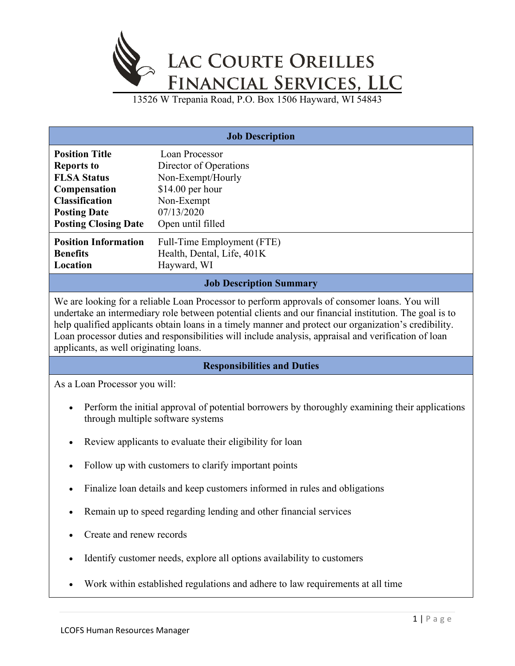

13526 W Trepania Road, P.O. Box 1506 Hayward, WI 54843

| <b>Job Description</b>                                                                                                                                                                                                                                                                                                                                                                                                                                             |                            |  |
|--------------------------------------------------------------------------------------------------------------------------------------------------------------------------------------------------------------------------------------------------------------------------------------------------------------------------------------------------------------------------------------------------------------------------------------------------------------------|----------------------------|--|
|                                                                                                                                                                                                                                                                                                                                                                                                                                                                    |                            |  |
| <b>Position Title</b>                                                                                                                                                                                                                                                                                                                                                                                                                                              | Loan Processor             |  |
| <b>Reports to</b>                                                                                                                                                                                                                                                                                                                                                                                                                                                  | Director of Operations     |  |
| <b>FLSA Status</b>                                                                                                                                                                                                                                                                                                                                                                                                                                                 | Non-Exempt/Hourly          |  |
| Compensation                                                                                                                                                                                                                                                                                                                                                                                                                                                       | \$14.00 per hour           |  |
| <b>Classification</b>                                                                                                                                                                                                                                                                                                                                                                                                                                              | Non-Exempt                 |  |
| <b>Posting Date</b>                                                                                                                                                                                                                                                                                                                                                                                                                                                | 07/13/2020                 |  |
| <b>Posting Closing Date</b>                                                                                                                                                                                                                                                                                                                                                                                                                                        | Open until filled          |  |
| <b>Position Information</b>                                                                                                                                                                                                                                                                                                                                                                                                                                        | Full-Time Employment (FTE) |  |
| <b>Benefits</b>                                                                                                                                                                                                                                                                                                                                                                                                                                                    | Health, Dental, Life, 401K |  |
| Location                                                                                                                                                                                                                                                                                                                                                                                                                                                           | Hayward, WI                |  |
|                                                                                                                                                                                                                                                                                                                                                                                                                                                                    |                            |  |
| <b>Job Description Summary</b>                                                                                                                                                                                                                                                                                                                                                                                                                                     |                            |  |
| We are looking for a reliable Loan Processor to perform approvals of consomer loans. You will<br>undertake an intermediary role between potential clients and our financial institution. The goal is to<br>help qualified applicants obtain loans in a timely manner and protect our organization's credibility.<br>Loan processor duties and responsibilities will include analysis, appraisal and verification of loan<br>applicants, as well originating loans. |                            |  |
| <b>Responsibilities and Duties</b>                                                                                                                                                                                                                                                                                                                                                                                                                                 |                            |  |
| As a Loan Processor you will:                                                                                                                                                                                                                                                                                                                                                                                                                                      |                            |  |
| Perform the initial approval of potential borrowers by thoroughly examining their applications<br>through multiple software systems                                                                                                                                                                                                                                                                                                                                |                            |  |
| Review applicants to evaluate their eligibility for loan                                                                                                                                                                                                                                                                                                                                                                                                           |                            |  |
| Follow up with customers to clarify important points                                                                                                                                                                                                                                                                                                                                                                                                               |                            |  |

- Finalize loan details and keep customers informed in rules and obligations
- Remain up to speed regarding lending and other financial services
- Create and renew records
- Identify customer needs, explore all options availability to customers
- Work within established regulations and adhere to law requirements at all time